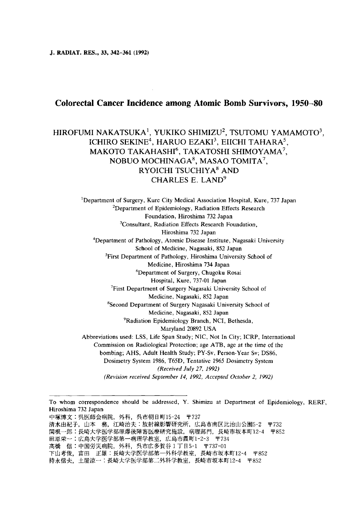J. RADIAT. RES., 33, 342-361 (1992)

# Colorectal Cancer Incidence among Atomic Bomb Survivors, 1950-80

# HIROFUMI NAKATSUKA<sup>1</sup>, YUKIKO SHIMIZU<sup>2</sup>, TSUTOMU YAMAMOTO<sup>3</sup>, ICHIRO SEKINE<sup>4</sup>, HARUO EZAKI<sup>3</sup>, EIICHI TAHARA<sup>5</sup>, MAKOTO TAKAHASHI<sup>6</sup>, TAKATOSHI SHIMOYAMA<sup>7</sup>, NOBUO MOCHINAGA8, MASAO TOMITA7, RYOICHI TSUCHIYA<sup>8</sup> AND CHARLES E. LAND<sup>9</sup>

<sup>1</sup>Department of Surgery, Kure City Medical Association Hospital, Kure, 737 Japan  $2$ Department of Epidemiology, Radiation Effects Researc Foundation, Hiroshima 732 Japan <sup>3</sup>Consultant, Radiation Effects Research Foundatio Hiroshima 732 Japan <sup>4</sup>Department of Pathology, Atomic Disease Institute, Nagasaki Universit School of Medicine, Nagasaki, 852 Japan5 <sup>5</sup>First Department of Pathology, Hiroshima University School of Medicine, Hiroshima 734 Japan <sup>6</sup>Department of Surgery, Chugoku Rosai Hospital, Kure, 737-01 Japan 7First Department of Surgery Nagasaki University School of Medicine, Nagasaki, 852 Japan 8Second Department of Surgery Nagasaki University School of Medicine, Nagasaki, 852 Japan9 <sup>9</sup>Radiation Epidemiology Branch, NCI, Bethesda, Maryland 20892 USA (Received July 27, 1992) (Revision received September 14, 1992, Accepted October 2, 1992) Abbreviations used: LSS, Life Span Study; NIC, Not In City; ICRP, International Commission on Radiological Protection; age ATB, age at the time of the bombing; AHS, Adult Health Study; PY-Sv, Person-Year Sv; DS86, Dosimetry System 1986, T65D, Tentative 1965 Dosimetry System

田原栄一:広島大学医学部第一病理学教室, 広島市霞町1-2-3 〒734

To whom correspondence should be addressed, Y. Shimizu at Department of Epidemiology, RERF, Hiroshima 732 Japan

中塚博文:呉医師会病院, 外科, 呉市朝日町15-24 〒737

清水由紀子,山本 務,江崎治夫:放射線影響研究所,広島市南区比治山公園5-2 〒732

関根一郎:長崎大学医学部原爆後障害医療研究施設,病理部門,長崎市坂本町12-4 〒852

高橋 信:中国労災病院, 外科, 呉市広多賀谷1丁目5-1 〒737-01

下山考俊, 富田 正雄:長崎大学医学部第一外科学教室, 長崎市坂本町12-4 〒852

持永信夫,土屋涼一:長崎大学医学部第二外科学教室,長崎市坂本町12-4 〒852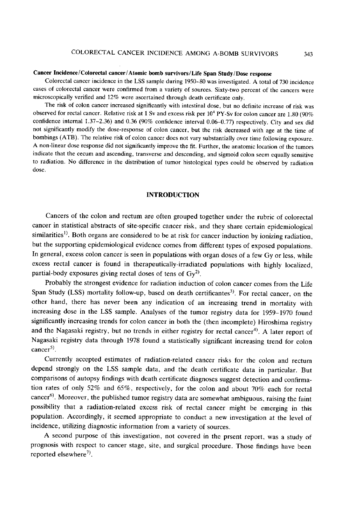#### Cancer Incidence /Colorectal cancer/Atomic bomb survivors/Life Span Study/Dose response

Colorectal cancer incidence in the LSS sample during 1950-80 was investigated. A total of 730 incidence cases of colorectal cancer were confirmed from a variety of sources. Sixty-two percent of the cancers were microscopically verified and 12% were ascertained through death certificate only.

The risk of colon cancer increased significantly with intestinal dose, but no definite increase of risk was observed for rectal cancer. Relative risk at 1 Sv and excess risk per  $10^4$  PY-Sv for colon cancer are 1.80 (90%) confidence internal 1.37-2.36) and 0.36 (90% confidence interval 0.06-0.77) respectively. City and sex did not significantly modify the dose-response of colon cancer, but the risk decreased with age at the time of bombings (ATB). The relative risk of colon cancer does not vary substantially over time following exposure. A non-linear dose response did not significantly improve the fit. Further, the anatomic location of the tumors indicate that the cecum and ascending, transverse and descending, and sigmoid colon seem equally sensitive to radiation. No difference in the distribution of tumor histological types could be observed by radiation dose.

## INTRODUCTION

Cancers of the colon and rectum are often grouped together under the rubric of colorectal cancer in statistical abstracts of site-specific cancer risk, and they share certain epidemiological similarities<sup>1)</sup>. Both organs are considered to be at risk for cancer induction by ionizing radiation, but the supporting epidemiological evidence comes from different types of exposed populations. In general, excess colon cancer is seen in populations with organ doses of a few Gy or less , while excess rectal cancer is found in therapeutically-irradiated populations with highly localized, partial-body exposures giving rectal doses of tens of  $Gy^2$ .

Probably the strongest evidence for radiation induction of colon cancer comes from the Life Span Study (LSS) mortality follow-up, based on death certificantes<sup>3)</sup>. For rectal cancer, on the other hand, there has never been any indication of an increasing trend in mortality with increasing dose in the LSS sample. Analyses of the tumor registry data for 1959-1970 found significantly increasing trends for colon cancer in both the (then incomplete) Hiroshima registry and the Nagasaki registry, but no trends in either registry for rectal cancer<sup>4)</sup>. A later report of Nagasaki registry data through 1978 found a statistically significant increasing trend for colon  $cancer<sup>5</sup>$ .

 Currently accepted estimates of radiation-related cancer risks for the colon and rectum depend strongly on the LSS sample data, and the death certificate data in particular. But comparisons of autopsy findings with death certificate diagnoses suggest detection and confirma tion rates of only 52% and 65%, respectively, for the colon and about 70% each for rectal cancer<sup>6)</sup>. Moreover, the published tumor registry data are somewhat ambiguous, raising the faint possibility that a radiation-related excess risk of rectal cancer might be emerging in this population. Accordingly, it seemed appropriate to conduct a new investigation at the level of incidence, utilizing diagnostic information from a variety of sources.

A second purpose of this investigation, not covered in the prsent report , was a study of prognosis with respect to cancer stage, site, and surgical procedure. Those findings have been reported elsewhere<sup>7)</sup>.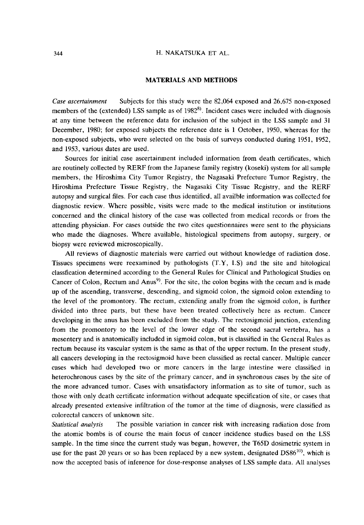### MATERIALS AND METHODS

Case ascertainment Subjects for this study were the 82,064 exposed and 26,675 non-exposed members of the (extended) LSS sample as of  $1982^{8}$ ). Incident cases were included with diagnosis at any time between the reference data for inclusion of the subject in the LSS sample and 31 December, 1980; for exposed subjects the reference date is 1 October, 1950, whereas for the non-exposed subjects, who were selected on the basis of surveys conducted during 1951, 1952, and 1953, various dates are used.

Sources for initial case ascertainment included information from death certificates, which are routinely collected by RERF from the Japanese family registry (koseki) system for all sample members, the Hiroshima City Tumor Registry, the Nagasaki Prefecture Tumor Registry, the Hiroshima Prefecture Tissue Registry, the Nagasaki City Tissue Registry, and the RERF autopsy and surgical files. For each case thus identified, all availble information was collected for diagnostic review. Where possible, visits were made to the medical institution or institutions concerned and the clinical history of the case was collected from medical records or from the attending physician. For cases outside the two cites questionnaires were sent to the physicians who made the diagnoses. Where available, histological specimens from autopsy, surgery, or biopsy were reviewed microscopically.

All reviews of diagnostic materials were carried out without knowledge of radiation dose. Tissues specimens were reexamined by pathologists (T.Y, I.S) and the site and hitological classfication determined according to the General Rules for Clinical and Pathological Studies on Cancer of Colon, Rectum and Anus<sup>9)</sup>. For the site, the colon begins with the cecum and is made up of the ascending, transverse, descending, and sigmoid colon, the sigmoid colon extending to the level of the promontory. The rectum, extending anally from the sigmoid colon, is further divided into three parts, but these have been treated collectively here as rectum. Cancer developing in the anus has been excluded from the study. The rectosigmoid junction, extending from the promontory to the level of the lower edge of the second sacral vertebra, has a mesentery and is anatomically included in sigmoid colon, but is classified in the General Rules as rectum because its vascular system is the same as that of the upper rectum. In the present study, all cancers developing in the rectosigmoid have been classified as rectal cancer. Multiple cancer cases which had developed two or more cancers in the large intestine were classified in heterochronous cases by the site of the primary cancer, and in synchronous cases by the site of the more advanced tumor. Cases with unsatisfactory information as to site of tumor, such as those with only death certificate information without adequate specification of site, or cases that already presented extensive infiltration of the tumor at the time of diagnosis, were classified as colorectal cancers of unknown site.

Statistical analysis The possible variation in cancer risk with increasing radiation dose from the atomic bombs is of course the main focus of cancer incidence studies based on the LSS sample. In the time since the current study was begun, however, the T65D dosimetric system in use for the past 20 years or so has been replaced by a new system, designated DS86<sup>10</sup>, which is now the accepted basis of inference for dose-response analyses of LSS sample data. All analyses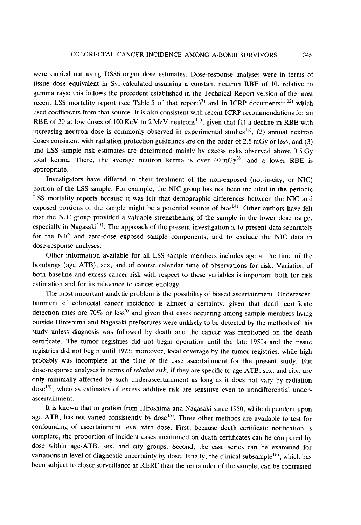were carried out using DS86 organ dose estimates. Dose-response analyses were in terms of tissue dose equivalent in Sv, calculated assuming a constant neutron RBE of 10, relative to gamma rays; this follows the precedent established in the Technical Report version of the most recent LSS mortality report (see Table 5 of that report)<sup>3)</sup> and in ICRP documents<sup>11,12</sup>) which used coefficients from that source. It is also consistent with recent ICRP recommendations for an RBE of 20 at low doses of 100 KeV to 2 MeV neutrons<sup>11</sup>, given that (1) a decline in RBE with increasing neutron dose is commonly observed in experimental studies<sup>13)</sup>, (2) annual neutron doses consistent with radiation protection guidelines are on the order of 2.5 mGy or less, and (3) and LSS sample risk estimates are determined mainly by excess risks observed above 0.5 Gy total kerma. There, the average neutron kerma is over  $40 \,\mathrm{mGy}^{3}$ , and a lower RBE is appropriate.

 Investigators have differed in their treatment of the non-exposed (not-in-city, or NIC) portion of the LSS sample. For example, the NIC group has not been included in the periodic LSS mortality reports because it was felt that demographic differences between the NIC and exposed portions of the sample might be a potential source of bias<sup>14)</sup>. Other authors have felt that the NIC group provided a valuable strengthening of the sample in the lower dose range, especially in Nagasaki<sup>15)</sup>. The approach of the present investigation is to present data separately for the NIC and zero-dose exposed sample components, and to exclude the NIC data in dose-response analyses.

Other information available for all LSS sample members includes age at the time of the bombings (age ATB), sex, and of course calendar time of observations for risk. Variation of both baseline and excess cancer risk with respect to these variables is important both for risk estimation and for its relevance to cancer etiology.

The most important analytic problem is the possibility of biased ascertainment. Underascer tainment of colorectal cancer incidence is almost a certainty, given that death certificate detection rates are 70% or less<sup>6)</sup> and given that cases occurring among sample members living outside Hiroshima and Nagasaki prefectures were unlikely to be detected by the methods of this study unless diagnosis was followed by death and the cancer was mentioned on the death certificate. The tumor registries did not begin operation until the late 1950s and the tissue registries did not begin until 1973; moreover, local coverage by the tumor registries, while high probably was incomplete at the time of the case ascertainment for the present study. But dose-response analyses in terms of *relative risk*, if they are specific to age ATB, sex, and city, are only minimally affected by such underascertainment as long as it does not vary by radiation dose<sup>15)</sup>, whereas estimates of excess additive risk are sensitive even to nondifferential underascertainment.

 It is known that migration from Hiroshima and Nagasaki since 1950, while dependent upon age ATB, has not varied consistently by dose<sup>15)</sup>. Three other methods are available to test for confounding of ascertainment level with dose. First , because death certificate notification is complete, the proportion of incident cases mentioned on death certificates can be compared by dose within age-ATB, sex, and city groups. Second, the case series can be examined for variations in level of diagnostic uncertainty by dose. Finally, the clinical subsample<sup>16)</sup>, which has been subject to closer surveillance at RERF than the remainder of the sample, can be contrasted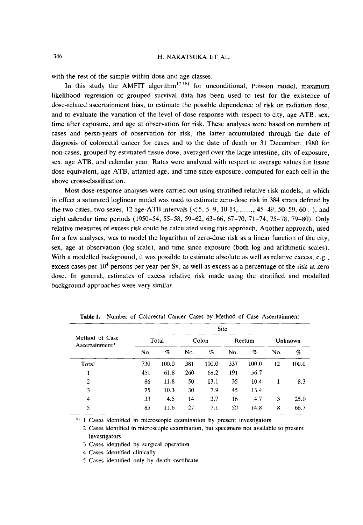with the rest of the sample within dose and age classes.

In this study the AMFIT algorithm<sup>17,18</sup> for unconditional, Poisson model, maximum likelihood regression of grouped survival data has been used to test for the existence of dose-related ascertainment bias, to estimate the possible dependence of risk on radiation dose, and to evaluate the variation of the level of dose response with respect to city, age ATB, sex, time after exposure, and age at observation for risk. These analyses were based on numbers of cases and persn-years of observation for risk, the latter accumulated through the date of diagnosis of colorectal cancer for cases and to the date of death or 31 December, 1980 for non-cases, grouped by estimated tissue dose, averaged over the large intestine, city of exposure, sex, age ATB, and calendar year. Rates were analyzed with respect to average values for tissue dose equivalent, age ATB, attanied age, and time since exposure, computed for each cell in the above cross-classification.

Most dose-response analyses were carried out using stratified relative risk models, in which in effect a saturated loglinear model was used to estimate zero-dose risk in 384 strata defined by the two cities, two sexes, 12 age-ATB intervals  $(< 5, 5-9, 10-14, \ldots$ , 45-49, 50-59, 60+), and eight calendar time periods (1950-54, 55-58, 59-62, 63-66, 67-70, 71-74, 75-78, 79-80). Only relative measures of excess risk could be calculated using this approach. Another approach, used for a few analyses, was to model the logarithm of zero-dose risk as a linear function of the city, sex, age at observation (log scale), and time since exposure (both log and arithmetic scales). With a modelled background, it was possible to estimate absolute as well as relative excess, e.g., excess cases per  $10<sup>4</sup>$  persons per year per Sv, as well as excess as a percentage of the risk at zero dose. In general, estimates of excess relative risk made using the stratified and modelled background approaches were very similar.

|                                  | <b>Site</b> |       |       |       |        |       |         |       |  |  |  |
|----------------------------------|-------------|-------|-------|-------|--------|-------|---------|-------|--|--|--|
| Method of Case<br>Ascertainment* | Total       |       | Colon |       | Rectum |       | Unknown |       |  |  |  |
|                                  | No.         | %     | No.   | %     | No.    | %     | No.     | $\%$  |  |  |  |
| Total                            | 730         | 100.0 | 381   | 100.0 | 337    | 100.0 | 12      | 100.0 |  |  |  |
|                                  | 451         | 61.8  | 260   | 68.2  | 191    | 56.7  |         |       |  |  |  |
| $\overline{2}$                   | 86          | 11.8  | 50    | 13.1  | 35     | 10.4  |         | 8.3   |  |  |  |
| 3                                | 75          | 10.3  | 30    | 7.9   | 45     | 13.4  |         |       |  |  |  |
| 4                                | 33          | 4.5   | 14    | 3.7   | 16     | 4.7   | 3       | 25.0  |  |  |  |
| 5                                | 85          | 11.6  | 27    | 7.1   | 50     | 14.8  | 8       | 66.7  |  |  |  |

Table 1. Number of Colorectal Cancer Cases by Method of Case Ascertainment

\*: 1 Cases identified in microscopic examination by present investigators

2 Cases identified in microscopic examination, but specimens not available to present investigators

3 Cases identified by surgical operation

4 Cases identified clinically

5 Cases identified only by death certificate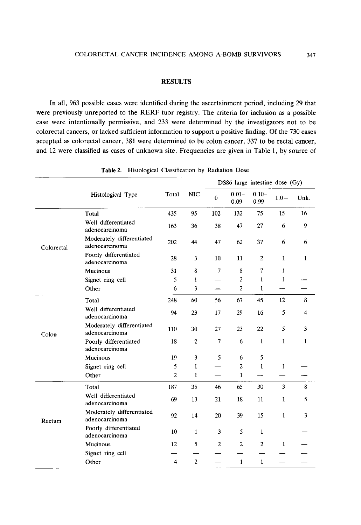# **RESULTS**

In all, 963 possible cases were identified during the ascertainment period, including 29 that were previously unreported to the RERF tuor registry. The criteria for inclusion as a possible case were intentionally permissive, and 233 were determined by the investigators not to be colorectal cancers, or lacked sufficient information to support a positive finding. Of the 730 cases accepted as colorectal cancer, 381 were determined to be colon cancer, 337 to be rectal cancer, and 12 were classified as cases of unknown site. Frequencies are given in Table 1, by source of

|            |                                             |                |                |                | DS86 large intestine dose (Gy) |                 |              |              |
|------------|---------------------------------------------|----------------|----------------|----------------|--------------------------------|-----------------|--------------|--------------|
|            | Histological Type                           | Total          | <b>NIC</b>     | $\bf{0}$       | $0.01 -$<br>0.09               | $0.10-$<br>0.99 | $1.0 +$      | Unk.         |
|            | Total                                       | 435            | 95             | 102            | 132                            | 75              | 15           | 16           |
|            | Well differentiated<br>adenocarcinoma       | 163            | 36             | 38             | 47                             | 27              | 6            | 9            |
| Colorectal | Moderately differentiated<br>adenocarcinoma | 202            | 44             | 47             | 62                             | 37              | 6            | 6            |
|            | Poorly differentiated<br>adenocarcinoma     | 28             | 3              | 10             | 11                             | 2               | 1            | 1            |
|            | Mucinous                                    | 31             | 8              | $\overline{7}$ | 8                              | 7               | 1            |              |
|            | Signet ring cell                            | 5              | $\mathbf{1}$   |                | $\overline{c}$                 | 1               | $\mathbf{1}$ |              |
|            | Other                                       | 6              | 3              |                | $\overline{2}$                 | 1               |              |              |
|            | Total                                       | 248            | 60             | 56             | 67                             | 45              | 12           | 8            |
|            | Well differentiated<br>adenocarcinoma       | 94             | 23             | 17             | 29                             | 16              | 5            | 4            |
| Colon      | Moderately differentiated<br>adenocarcinoma | 110            | 30             | 27             | 23                             | 22              | 5            | 3            |
|            | Poorly differentiated<br>adenocarcinoma     | 18             | 2              | 7              | 6                              | $\mathbf{1}$    | 1            | $\mathbf{1}$ |
|            | Mucinous                                    | 19             | 3              | 5              | 6                              | 5               |              |              |
|            | Signet ring cell                            | 5              | 1              |                | $\overline{c}$                 | $\mathbf{1}$    | $\mathbf{1}$ |              |
|            | Other                                       | $\overline{2}$ | 1              |                | $\mathbf{1}$                   |                 |              |              |
|            | Total                                       | 187            | 35             | 46             | 65                             | 30              | 3            | 8            |
|            | Well differentiated<br>adenocarcinoma       | 69             | 13             | 21             | 18                             | 11              | 1            | 5            |
| Rectum     | Moderately differentiated<br>adenocarcinoma | 92             | 14             | 20             | 39                             | 15              | $\mathbf{1}$ | 3            |
|            | Poorly differentiated<br>adenocarcinoma     | 10             | 1              | 3              | 5                              | $\mathbf{1}$    |              |              |
|            | Mucinous                                    | 12             | 5              | 2              | $\overline{c}$                 | $\mathbf{2}$    | 1            |              |
|            | Signet ring cell                            |                |                |                |                                |                 |              |              |
|            | Other                                       | 4              | $\overline{c}$ |                | $\mathbf{1}$                   | $\mathbf{1}$    |              |              |

Table 2. Histological Classification by Radiation Dose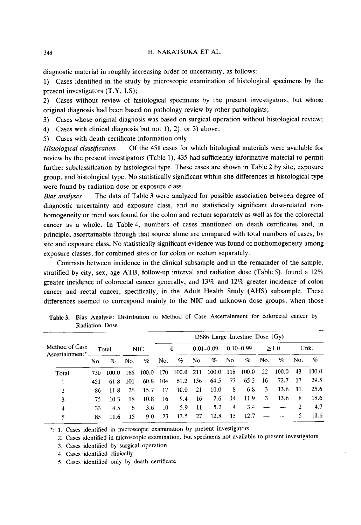diagnostic material in roughly increasing order of uncertainty, as follows:

1) Cases identified in the study by microscopic examination of histological specimens by the present investigators (T.Y, I.S);

2) Cases without review of histological specimens by the present investigators, but whose original diagnosis had been based on pathology review by other pathologists;

3) Cases whose original diagnosis was based on surgical operation without histological review;

4) Cases with clinical diagnosis but not 1), 2), or 3) above;

5) Cases with death certificate information only.

Histological classification Of the 451 cases for which hitological materials were available for review by the present investigators (Table 1), 435 had sufficiently informative material to permit further subclassification by histological type. These cases are shown in Table 2 by site, exposure group, and histological type. No statistically significant within-site differences in histological type were found by radiation dose or exposure class.

Bias analyses The data of Table 3 were analyzed for possible association between degree of diagnostic uncertainty and exposure class, and no statistically significant dose-related non homogeneity or trend was found for the colon and rectum separately as well as for the colorectal cancer as a whole. In Table 4, numbers of cases mentioned on death certificates and, in principle, ascertainable through that source alone are compared with total numbers of cases, by site and exposure class. No statistically significant evidence was found of nonhomogeneity among exposure classes, for combined sites or for colon or rectum separately.

 Contrasts between incidence in the clinical subsample and in the remainder of the sample, stratified by city, sex, age ATB, follow-up interval and radiation dose (Table 5), found a 12% greater incidence of colorectal cancer generally, and 13% and 12% greater incidence of colon cancer and rectal cancer, specifically, in the Adult Health Study (AHS) subsample. These differences seemed to correspond mainly to the NIC and unknown dose groups; when those

|                            |       |       |      |        |     |                   |               | $DS86$ Large Intestine Dose $(Gy)$ |               |       |      |       |      |       |
|----------------------------|-------|-------|------|--------|-----|-------------------|---------------|------------------------------------|---------------|-------|------|-------|------|-------|
| Method of Case             | Total |       | NIC. |        | 0   |                   | $0.01 - 0.09$ |                                    | $0.10 - 0.99$ |       | >1.0 |       | Unk. |       |
| Ascertainment <sup>*</sup> | No.   | %     | No.  | %      | No. | %                 | No.           | $\%$                               | No.           | %     | No.  | $\%$  | No.  | %     |
| Total                      | 730   | 100.0 | 166  | -100.0 | 170 | 100.0             | 211           | 100.0                              | 118           | 100.0 | 22   | 100.0 | 43   | 100.0 |
|                            | 451   | 61.8  | 101  | 60.8   | 104 | 61.2              | - 136         | 64.5                               | 77            | 65.3  | 16   | 72.7  | 17   | 29.5  |
| 2                          | 86    | 11.8  | 26   | 15.7   | 17  | 10.0 <sub>1</sub> | 21            | 10.0                               | 8             | 6.8   | 3    | 13.6  | -11  | 25.6  |
| 3                          | 75    | 10.3  | 18   | 10.8   | 16  | 9.4               | 16            | 7.6                                | 14            | 11.9  | 3.   | 13.6  | 8    | 18.6  |
| 4                          | 33    | 4.5   | 6    | 3.6    | 10  | 5.9               | 11            | 5.2                                | 4             | 3.4   |      |       |      | 4.7   |
| 5                          | 85    | 11.6  | 15   | 9.0    | 23  | 13.5              | 27            | 12.8                               | 15            | 12.7  |      |       |      | 11.6  |

Table 3. Bias Analysis: Distribution of Method of Case Ascertainment for colorectal cancer by Radiation Dose

\*: 1. Cases identified in microscopic examination by present investigato

2. Cases identified in microscopic examination, but specimens not available to present investigators

3. Cases identified by surgical operation

4. Cases identified clinically

5. Cases identified only by death certificate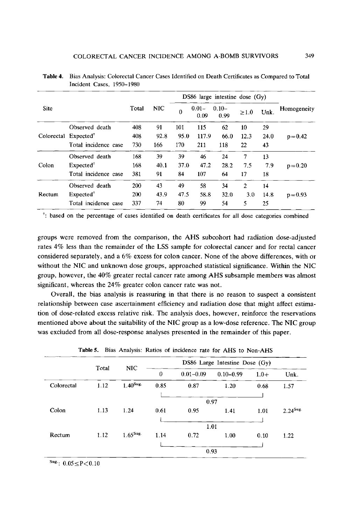|                                  |                       |       | <b>NIC</b> | DS86 large intestine dose $(Gy)$ |                  |                  |              |      |             |
|----------------------------------|-----------------------|-------|------------|----------------------------------|------------------|------------------|--------------|------|-------------|
| <b>Site</b>                      |                       | Total |            | $\bf{0}$                         | $0.01 -$<br>0.09 | $0.10 -$<br>0.99 | $\geq 1.0$   | Unk. | Homogeneity |
|                                  | Observed death        | 408   | 91         | 101                              | 115              | 62               | 10           | 29   |             |
| Colorectal Expected <sup>®</sup> |                       | 408   | 92.8       | 95.0                             | 117.9            | 66.0             | 12.3         | 24.0 | $p=0.42$    |
|                                  | Total incidence case  | 730   | 166        | 170                              | 211              | 118              | 22           | 43   |             |
|                                  | Observed death        | 168   | 39         | 39                               | 46               | 24               | 7            | 13   |             |
| Colon                            | Expected <sup>†</sup> | 168   | 40.1       | 37.0                             | 47.2             | 28.2             | 7.5          | 7.9  | $p = 0.20$  |
|                                  | Total incidence case  | 381   | 91         | 84                               | 107              | 64               | 17           | 18   |             |
|                                  | Observed death        | 200   | 43         | 49                               | 58               | 34               | $\mathbf{2}$ | 14   |             |
| Rectum                           | Expected <sup>†</sup> | 200   | 43.9       | 47.5                             | 58.8             | 32.0             | 3.0          | 14.8 | $p = 0.93$  |
|                                  | Total incidence case  | 337   | 74         | 80                               | 99               | 54               | 5            | 25   |             |

Table 4. Bias Analysis: Colorectal Cancer Cases Identified on Death Certificates as Compared to Total Incident Cases, 1950-1980

t: based on the percentage of cases identified on death certificates for all dose categories combined

groups were removed from the comparison, the AHS subcohort had radiation dose-adjusted rates 4% less than the remainder of the LSS sample for colorectal cancer and for rectal cancer considered separately, and a 6% excess for colon cancer. None of the above differences, with or without the NIC and unknown dose groups, approached statistical significance. Within the NIC group, however, the 40% greater rectal cancer rate among AHS subsample members was almost significant, whereas the 24% greater colon cancer rate was not.

Overall, the bias analysis is reassuring in that there is no reason to suspect a consistent relationship between case ascertainment efficiency and radiation dose that might affect estima tion of dose-related excess relative risk. The analysis does, however, reinforce the reservations mentioned above about the suitability of the NIC group as a low-dose reference. The NIC group was excluded from all dose-response analyses presented in the remainder of this paper.

|            | Total | NIC                    | DS86 Large Intestine Dose $(Gy)$ |               |               |        |                        |  |  |
|------------|-------|------------------------|----------------------------------|---------------|---------------|--------|------------------------|--|--|
|            |       |                        | $\boldsymbol{0}$                 | $0.01 - 0.09$ | $0.10 - 0.99$ | $1.0+$ | Unk.                   |  |  |
| Colorectal | 1.12  | $1.40$ <sup>Sug.</sup> | 0.85                             | 0.87          | 1.20          | 0.68   | 1.57                   |  |  |
|            |       |                        |                                  |               | 0.97          |        |                        |  |  |
| Colon      | 1.13  | 1.24                   | 0.61                             | 0.95          | 1.41          | 1.01   | $2.24$ <sup>Sug.</sup> |  |  |
|            |       |                        |                                  |               | 1.01          |        |                        |  |  |
| Rectum     | 1.12  | $1.65^{Sug.}$          | 1.14                             | 0.72          | 1.00          | 0.10   | 1.22                   |  |  |
|            |       |                        |                                  |               | 0.93          |        |                        |  |  |

Table 5. Bias Analysis: Ratios of incidence rate for AHS to Non-AHS

 $s_{\text{ug.}}$ : 0.05 $\leq$ P $<$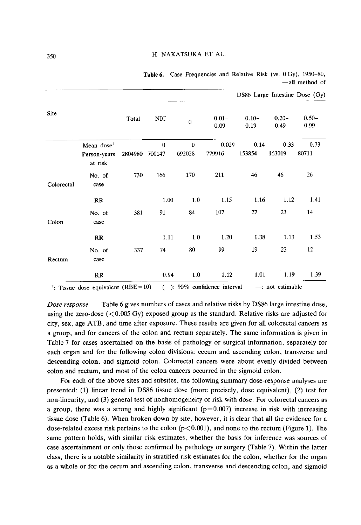|             |                                                   |         |                        |                    |                  |                  |                  | DS86 Large Intestine Dose (Gy) |
|-------------|---------------------------------------------------|---------|------------------------|--------------------|------------------|------------------|------------------|--------------------------------|
| <b>Site</b> |                                                   | Total   | <b>NIC</b>             | $\boldsymbol{0}$   | $0.01 -$<br>0.09 | $0.10 -$<br>0.19 | $0.20 -$<br>0.49 | $0.50 -$<br>0.99               |
|             | Mean dose <sup>t</sup><br>Person-years<br>at risk | 2804980 | $\mathbf{0}$<br>700147 | $\bf{0}$<br>692028 | 0.029<br>779916  | 0.14<br>153854   | 0.33<br>163019   | 0.73<br>80711                  |
| Colorectal  | No. of<br>case                                    | 730     | 166                    | 170                | 211              | 46               | 46               | 26                             |
|             | <b>RR</b>                                         |         | 1.00                   | 1.0                | 1.15             | 1.16             | 1.12             | 1.41                           |
| Colon       | No. of<br>case                                    | 381     | 91                     | 84                 | 107              | 27               | 23               | 14                             |
|             | RR                                                |         | 1.11                   | 1.0                | 1.20             | 1.38             | 1.13             | 1.53                           |
| Rectum      | No. of<br>case                                    | 337     | 74                     | 80                 | 99               | 19               | 23               | 12                             |
|             | RR                                                |         | 0.94                   | 1.0                | 1.12             | 1.01             | 1.19             | 1.39                           |

Table 6. Case Frequencies and Relative Risk (vs. 0 Gy), 1950-80, -all method of

<sup>t</sup>: Tissue dose equivalent  $(RBE=10)$  ( ): 90% confidence interval  $-$ : not estimable

Dose response Table 6 gives numbers of cases and relative risks by DS86 large intestine dose, using the zero-dose  $(<0.005 \text{ Gy})$  exposed group as the standard. Relative risks are adjusted for city, sex, age ATB, and time after exposure. These results are given for all colorectal cancers as a group, and for cancers of the colon and rectum separately. The same information is given in Table 7 for cases ascertained on the basis of pathology or surgical information, separately for each organ and for the following colon divisions: cecum and ascending colon, transverse and descending colon, and sigmoid colon. Colorectal cancers were about evenly divided between colon and rectum, and most of the colon cancers occurred in the sigmoid colon.

For each of the above sites and subsites, the following summary dose-response analyses are presented: (1) linear trend in DS86 tissue dose (more precisely, dose equivalent), (2) test for non-linearity, and (3) general test of nonhomogeneity of risk with dose. For colorectal cancers as a group, there was a strong and highly significant  $(p=0.007)$  increase in risk with increasing tissue dose (Table 6). When broken down by site, however, it is clear that all the evidence for a dose-related excess risk pertains to the colon  $(p<0.001)$ , and none to the rectum (Figure 1). The same pattern holds, with similar risk estimates, whether the basis for inference was sources of case ascertainment or only those confirmed by pathology or surgery (Table 7). Within the latter class, there is a notable similarity in stratified risk estimates for the colon, whether for the organ as a whole or for the cecum and ascending colon, transverse and descending colon, and sigmoid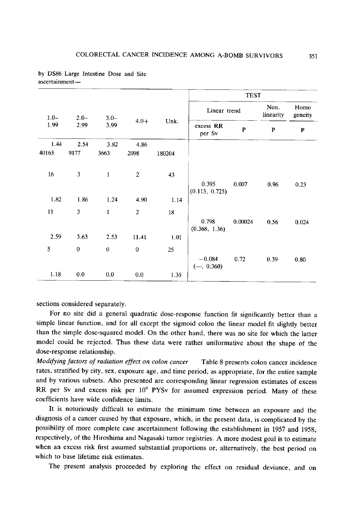|         |                  |              |                |        |                          | <b>TEST</b> |                   |                 |
|---------|------------------|--------------|----------------|--------|--------------------------|-------------|-------------------|-----------------|
| $1.0 -$ | $2.0 -$          | $3.0 -$      |                |        | Linear trend             |             | Non.<br>linearity | Homo<br>geneity |
| 1.99    | 2.99             | 3.99         | $4.0+$         | Unk.   | excess RR<br>per Sv      | ${\bf P}$   | P                 | P               |
| 1.44    | 2.54             | 3.82         | 4.86           |        |                          |             |                   |                 |
| 40163   | 9177             | 3663         | 2098           | 180204 |                          |             |                   |                 |
| 16      | 3                | $\mathbf{1}$ | $\mathbf{2}$   | 43     |                          |             |                   |                 |
|         |                  |              |                |        | 0.395<br>(0.113, 0.725)  | 0.007       | 0.96              | 0.23            |
| 1.82    | 1.86             | 1.24         | 4.90           | 1.14   |                          |             |                   |                 |
| 11      | 3                | $\mathbf{1}$ | $\overline{2}$ | 18     |                          |             |                   |                 |
|         |                  |              |                |        | 0.798<br>(0.368, 1.36)   | 0.00024     | 0.56              | 0.024           |
| 2.59    | 3.63             | 2.53         | 11.41          | 1.01   |                          |             |                   |                 |
| 5       | $\boldsymbol{0}$ | $\bf{0}$     | $\mathbf 0$    | 25     |                          |             |                   |                 |
|         |                  |              |                |        | $-0.084$<br>$(-, 0.360)$ | 0.72        | 0.39              | 0.80            |
| 1.18    | 0.0              | 0.0          | 0.0            | 1.35   |                          |             |                   |                 |

by DS86 Large Intestine Dose and Site ascertainment

sections considered separately.

For no site did a general quadratic dose-response function fit significantly better than a simple linear function, and for all except the sigmoid colon the linear model fit slightly better than the simple dose-squared model. On the other hand, there was no site for which the latter model could be rejected. Thus these data were rather uniformative about the shape of the dose-response relationship.

Modifying factors of radiation effect on colon cancer Table 8 presents colon cancer incidence rates, stratified by city, sex, exposure age, and time period, as appropriate , for the entire sample and by various subsets. Also presented are corresponding linear regression estimates of excess RR per Sv and excess risk per  $10^4$  PYSv for assumed expression period. Many of these coefficients have wide confidence limits.

It is notoriously difficult to estimate the minimum time between an exposure and the diagnosis of a cancer caused by that exposure, which, in the present data, is complicated by the possibility of more complete case ascertainment following the establishment in 1957 and 1958, respectively, of the Hiroshima and Nagasaki tumor registries. A more modest goal is to estimate when an excess risk first assumed substantial proportions or , alternatively, the best period on which to base lifetime risk estimates.

The present analysis proceeded by exploring the effect on residual deviance , and on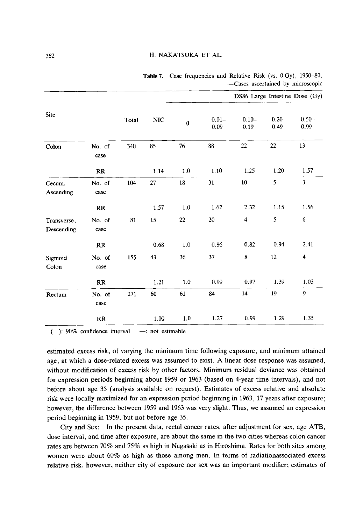|                           |                |       |              |          |                  |                         |                  | <b>20000 ADDDITIONAL 07 AMOROUGHIS</b> |
|---------------------------|----------------|-------|--------------|----------|------------------|-------------------------|------------------|----------------------------------------|
|                           |                |       |              |          |                  |                         |                  | DS86 Large Intestine Dose (Gy)         |
| <b>Site</b>               |                | Total | $_{\rm NIC}$ | $\bf{0}$ | $0.01 -$<br>0.09 | $0.10 -$<br>0.19        | $0.20 -$<br>0.49 | $0.50 -$<br>0.99                       |
| Colon                     | No. of<br>case | 340   | 85           | 76       | 88               | 22                      | 22               | 13                                     |
|                           | RR             |       | 1.14         | 1.0      | 1.10             | 1.25                    | 1.20             | 1.57                                   |
| Cecum.<br>Ascending       | No. of<br>case | 104   | 27           | 18       | 31               | 10                      | 5                | 3                                      |
|                           | RR             |       | 1.57         | 1.0      | 1.62             | 2.32                    | 1.15             | 1.56                                   |
| Transverse,<br>Descending | No. of<br>case | 81    | 15           | 22       | 20               | $\overline{\mathbf{4}}$ | 5                | 6                                      |
|                           | RR             |       | 0.68         | $1.0$    | 0.86             | 0.82                    | 0.94             | 2.41                                   |
| Sigmoid<br>Colon          | No. of<br>case | 155   | 43           | 36       | 37               | 8                       | 12               | $\overline{\mathbf{4}}$                |
|                           | RR             |       | 1.21         | 1.0      | 0.99             | 0.97                    | 1.39             | 1.03                                   |
| Rectum                    | No. of<br>case | 271   | 60           | 61       | 84               | 14                      | 19               | 9                                      |
|                           | RR             |       | 1.00         | 1.0      | 1.27             | 0.99                    | 1.29             | 1.35                                   |

Table 7. Case frequencies and Relative Risk (vs. 0 Gy), 1950-80, -Cases ascertained by microscopic

 $($  ): 90% confidence interval  $-$ : not estimable

estimated excess risk, of varying the minimum time following exposure, and minimum attained age, at which a dose-related excess was assumed to exist. A linear dose response was assumed, without modification of excess risk by other factors. Minimum residual deviance was obtained for expression periods beginning about 1959 or 1963 (based on 4-year time intervals), and not before about age 35 (analysis available on request). Estimates of excess relative and absolute risk were locally maximized for an expression period beginning in 1963, 17 years after exposure; however, the difference between 1959 and 1963 was very slight. Thus, we assumed an expression period beginning in 1959, but not before age 35.

 City and Sex: In the present data, rectal cancer rates, after adjustment for sex, age ATB, dose interval, and time after exposure, are about the same in the two cities whereas colon cancer rates are between 70% and 75% as high in Nagasaki as in Hiroshima. Rates for both sites among women were about 60% as high as those among men. In terms of radiationassociated excess relative risk, however, neither city of exposure nor sex was an important modifier; estimates of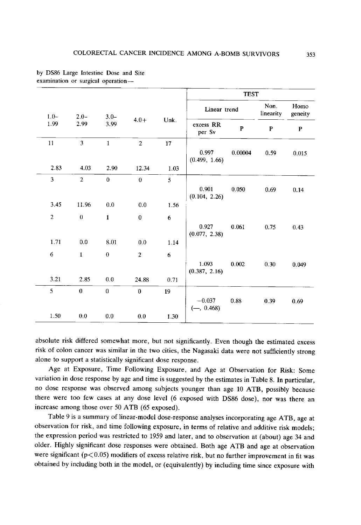|                |                         |              |                |      | <b>TEST</b>              |         |                   |                 |
|----------------|-------------------------|--------------|----------------|------|--------------------------|---------|-------------------|-----------------|
| $1.0-$         | $2.0-$                  | $3.0 -$      |                |      | Linear trend             |         | Non.<br>linearity | Homo<br>geneity |
| 1.99           | 2.99                    | 3.99         | $4.0+$         | Unk. | excess RR<br>per Sv      | P       | $\mathbf{P}$      | $\mathbf{P}$    |
| 11             | $\overline{\mathbf{3}}$ | $\mathbf 1$  | $\overline{2}$ | 17   | 0.997<br>(0.499, 1.66)   | 0.00004 | 0.59              | 0.015           |
| 2.83           | 4.03                    | 2.90         | 12.34          | 1.03 |                          |         |                   |                 |
| 3              | $\overline{2}$          | $\theta$     | $\bf{0}$       | 5    | 0.901<br>(0.104, 2.26)   | 0.050   | 0.69              | 0.14            |
| 3.45           | 11.96                   | 0.0          | 0.0            | 1.56 |                          |         |                   |                 |
| $\overline{2}$ | $\bf{0}$                | $\mathbf{1}$ | $\bf{0}$       | 6    | 0.927<br>(0.077, 2.38)   | 0.061   | 0.75              | 0.43            |
| 1.71           | 0.0                     | 8.01         | 0.0            | 1.14 |                          |         |                   |                 |
| 6              | $\mathbf{1}$            | $\bf{0}$     | $\overline{2}$ | 6    | 1.093<br>(0.387, 2.16)   | 0.002   | 0.30              | 0.049           |
| 3.21           | 2.85                    | 0.0          | 24.88          | 0.71 |                          |         |                   |                 |
| 5              | $\mathbf{0}$            | $\theta$     | $\bf{0}$       | 19   | $-0.037$<br>$(-, 0.468)$ | 0.88    | 0.39              | 0.69            |
| 1.50           | 0.0                     | $0.0\,$      | 0.0            | 1.30 |                          |         |                   |                 |

by DS86 Large Intestine Dose and Site examination or surgical operation

absolute risk differed somewhat more, but not significantly. Even though the estimated excess risk of colon cancer was similar in the two cities, the Nagasaki data were not sufficiently strong alone to support a statistically significant dose response.

 Age at Exposure, Time Following Exposure, and Age at Observation for Risk: Some variation in dose response by age and time is suggested by the estimates in Table 8. In particular, no dose response was observed among subjects younger than age 10 ATB, possibly because there were too few cases at any dose level (6 exposed with DS86 dose) , nor was there an increase among those over 50 ATB (65 exposed).

Table 9 is a summary of linear-model dose-response analyses incorporating age ATB, age at observation for risk, and time following exposure, in terms of relative and additive risk models; the expression period was restricted to 1959 and later, and to observation at (about) age 34 and older. Highly significant dose responses were obtained. Both age ATB and age at observation were significant ( $p<0.05$ ) modifiers of excess relative risk, but no further improvement in fit was obtained by including both in the model, or (equivalently) by including time since exposure with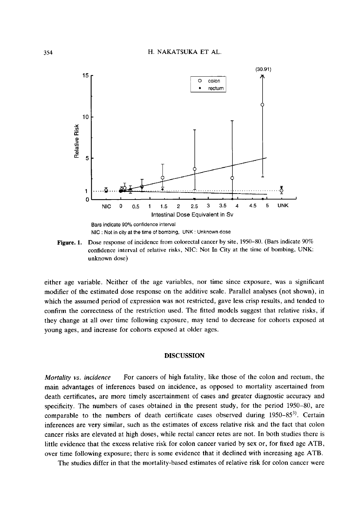

Figure. 1. Dose response of incidence from colorectal cancer by site, 1950-80. (Bars indicate 90% confidence interval of relative risks, NIC: Not In City at the time of bombing, UNK: unknown dose)

either age variable. Neither of the age variables, nor time since exposure, was a significant modifier of the estimated dose response on the additive scale. Parallel analyses (not shown), in which the assumed period of expression was not restricted, gave less crisp results, and tended to confirm the correctness of the restriction used. The fitted models suggest that relative risks, if they change at all over time following exposure, may tend to decrease for cohorts exposed at young ages, and increase for cohorts exposed at older ages.

## **DISCUSSION**

Mortality vs. incidence For cancers of high fatality, like those of the colon and rectum, the main advantages of inferences based on incidence, as opposed to mortality ascertained from death certificates, are more timely ascertainment of cases and greater diagnostic accuracy and specificity. The numbers of cases obtained in the present study, for the period 1950-80, are comparable to the numbers of death certificate cases observed during  $1950-85^{3}$ . Certain inferences are very similar, such as the estimates of excess relative risk and the fact that colon cancer risks are elevated at high doses, while rectal cancer retes are not. In both studies there is little evidence that the excess relative risk for colon cancer varied by sex or, for fixed age ATB, over time following exposure; there is some evidence that it declined with increasing age ATB.

The studies differ in that the mortality-based estimates of relative risk for colon cancer were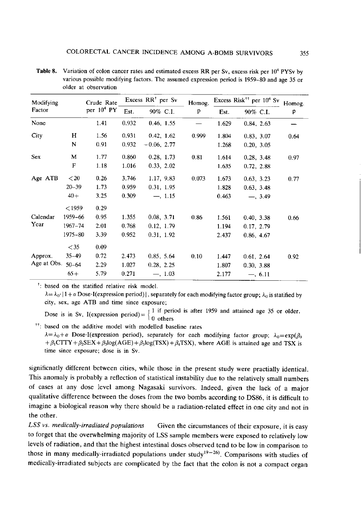| Modifying   |             | Crude Rate    |       | Excess RR <sup>+</sup> per Sv | Homog. |       | Excess Risk <sup>++</sup> per 10 <sup>4</sup> Sv | Homog. |
|-------------|-------------|---------------|-------|-------------------------------|--------|-------|--------------------------------------------------|--------|
| Factor      |             | per $10^4$ PY | Est.  | 90% C.I.                      | p      | Est.  | 90% C.I.                                         | p      |
| None        |             | 1.41          | 0.932 | 0.46, 1.55                    |        | 1.629 | 0.84, 2.63                                       |        |
| City        | н           | 1.56          | 0.931 | 0.42, 1.62                    | 0.999  | 1.804 | 0.83, 3.07                                       | 0.64   |
|             | N           | 0.91          | 0.932 | $-0.06, 2.77$                 |        | 1.268 | 0.20, 3.05                                       |        |
| Sex         | M           | 1.77          | 0.860 | 0.28, 1.73                    | 0.81   | 1.614 | 0.28, 3.48                                       | 0.97   |
|             | F           | 1.18          | 1.016 | 0.33, 2.02                    |        | 1.635 | 0.72, 2.88                                       |        |
| Age ATB     | < 20        | 0.26          | 3.746 | 1.17, 9.83                    | 0.073  | 1.673 | 0.63, 3.23                                       | 0.77   |
|             | $20 - 39$   | 1.73          | 0.959 | 0.31, 1.95                    |        | 1.828 | 0.63, 3.48                                       |        |
|             | $40+$       | 3.25          | 0.309 | $-$ , 1.15                    |        | 0.463 | $-3.49$                                          |        |
|             | < 1959      | 0.29          |       |                               |        |       |                                                  |        |
| Calendar    | 1959-66     | 0.95          | 1.355 | 0.08, 3.71                    | 0.86   | 1.561 | 0.40, 3.38                                       | 0.66   |
| Year        | $1967 - 74$ | 2.01          | 0.768 | 0.12, 1.79                    |        | 1.194 | 0.17, 2.79                                       |        |
|             | 1975-80     | 3.39          | 0.952 | 0.31, 1.92                    |        | 2.437 | 0.86, 4.67                                       |        |
|             | $<$ 35      | 0.09          |       |                               |        |       |                                                  |        |
| Approx.     | $35 - 49$   | 0.72          | 2.473 | 0.85, 5.64                    | 0.10   | 1.447 | 0.61, 2.64                                       | 0.92   |
| Age at Obs. | $50 - 64$   | 2.29          | 1.027 | 0.28, 2.25                    |        | 1.807 | 0.30, 3.88                                       |        |
|             | $65+$       | 5.79          | 0.271 | $-$ , 1.03                    |        | 2.177 | $-$ , 6.11                                       |        |

**Table 8.** Variation of colon cancer rates and estimated excess RR per Sv, excess risk per  $10<sup>4</sup>$  PYSv by various possible modifying factors. The assumed expression period is 1959-80 and age 35 or older at observation

<sup>†</sup>: based on the statified relative risk model.

 $\lambda = \lambda_0$  | 1 +  $\alpha$  Dose ·I(expression period)|, separately for each modifying factor group;  $\lambda_0$  is statified by city, sex, age ATB and time since exposure;

Dose is in Sv, I(expression period) =  $\begin{cases} 1 & \text{if period is after 1959 and attained age 35 or older.} \\ 0 & \text{others} \end{cases}$ 

<sup>††</sup>: based on the additive model with modelled baseline rates

 $\lambda = \lambda_0 + \alpha$  Dose I(expression period), separately for each modifying factor group;  $\lambda_0 = \exp(\beta_0)$  $+\beta_1$ CTTY +  $\beta_2$ SEX +  $\beta_3$ log(AGE) +  $\beta_3$ log(TSX) +  $\beta_4$ TSX), where AGE is attained age and TSX is time since exposure; dose is in Sv.

significnatly different between cities, while those in the present study were practially identical . This anomaly is probably a reflection of statistical instability due to the relatively small numbers of cases at any dose level among Nagasaki survivors. Indeed, given the lack of a major qualitative difference between the doses from the two bombs according to DS86, it is difficult to imagine a biological reason why there should be a radiation-related effect in one city and not in the other.

 $LSS$  vs. medically-irradiated populations Given the circumstances of their exposure, it is easy to forget that the overwhelming majority of LSS sample members were exposed to relatively low levels of radiation, and that the highest intestinal doses observed tend to be low in comparison to those in many medically-irradiated populations under study<sup>19-26</sup>). Comparisons with studies of medically-irradiated subjects are complicated by the fact that the colon is not a compact organ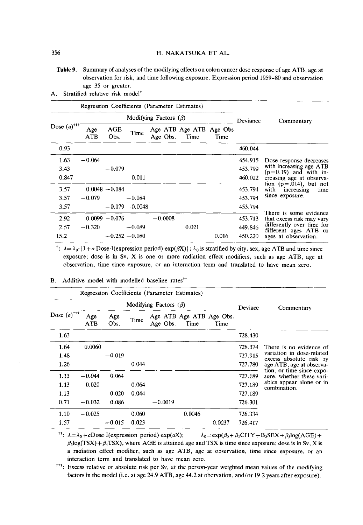Table 9. Summary of analyses of the modifying effects on colon cancer dose response of age ATB, age at observation for risk, and time following exposure. Expression period 1959-80 and observation age 35 or greater.

| А. | Stratified relative risk model <sup>+</sup> |  |  |
|----|---------------------------------------------|--|--|
|    |                                             |  |  |

|                           | Regression Coefficients (Parameter Estimates) |                  |                   |                             |                                 |       |          |                                                      |  |  |
|---------------------------|-----------------------------------------------|------------------|-------------------|-----------------------------|---------------------------------|-------|----------|------------------------------------------------------|--|--|
|                           |                                               |                  |                   | Modifying Factors $(\beta)$ |                                 |       | Deviance | Commentary                                           |  |  |
| Dose $(a)$ <sup>†††</sup> | Age<br>ATB                                    | AGE<br>Obs.      | Time              | Age Obs.                    | Age ATB Age ATB Age Obs<br>Time | Time  |          |                                                      |  |  |
| 0.93                      |                                               |                  |                   |                             |                                 |       | 460.044  |                                                      |  |  |
| 1.63                      | $-0.064$                                      |                  |                   |                             |                                 |       | 454.915  | Dose response decreases                              |  |  |
| 3.43                      |                                               | $-0.079$         |                   |                             |                                 |       | 453.799  | with increasing age ATB<br>$(p=0.19)$ and with in-   |  |  |
| 0.847                     |                                               |                  | 0.011             |                             |                                 |       | 460.022  | creasing age at observa-                             |  |  |
| 3.57                      |                                               | $0.0048 - 0.084$ |                   |                             |                                 |       | 453.794  | tion $(p=.014)$ , but not<br>with increasing<br>time |  |  |
| 3.57                      | $-0.079$                                      |                  | $-0.084$          |                             |                                 |       | 453.794  | since exposure.                                      |  |  |
| 3.57                      |                                               |                  | $-0.079 - 0.0048$ |                             |                                 |       | 453.794  |                                                      |  |  |
| 2.92                      |                                               | $0.0099 - 0.076$ |                   | $-0.0008$                   |                                 |       | 453.713  | There is some evidence<br>that excess risk may vary  |  |  |
| 2.57                      | $-0.320$                                      |                  | $-0.089$          |                             | 0.021                           |       | 449.846  | differently over time for<br>different ages ATB or   |  |  |
| 15.2                      |                                               | $-0.252 - 0.080$ |                   |                             |                                 | 0.016 | 450.220  | ages at observation.                                 |  |  |

<sup>t</sup>:  $\lambda = \lambda_0$  { 1 + a Dose ·I(expression period) ·exp( $\beta$ X) | ;  $\lambda_0$  is stratified by city, sex, age ATB and time since exposure; dose is in Sv, X is one or more radiation effect modifiers, such as age ATB, age at observation, time since exposure, or an interaction term and translated to have mean zero.

| Regression Coefficients (Parameter Estimates) |                             |             |       |           |        |                                  |         |                                                                                                                                                                                                                   |
|-----------------------------------------------|-----------------------------|-------------|-------|-----------|--------|----------------------------------|---------|-------------------------------------------------------------------------------------------------------------------------------------------------------------------------------------------------------------------|
| Dose $(\alpha)^{++}$                          | Modifying Factors $(\beta)$ |             |       |           |        |                                  | Deviace | Commentary                                                                                                                                                                                                        |
|                                               | Age<br>ATB                  | Age<br>Obs. | Time  | Age Obs.  | Time   | Age ATB Age ATB Age Obs.<br>Time |         |                                                                                                                                                                                                                   |
| 1.63                                          |                             |             |       |           |        |                                  | 728.430 | There is no evidence of<br>variation in dose-related<br>excess absolute risk by<br>age ATB, age at observa-<br>tion, or time since expo-<br>sure, whether these vari-<br>ables appear alone or in<br>combination. |
| 1.64                                          | 0.0060                      |             |       |           |        |                                  | 728.374 |                                                                                                                                                                                                                   |
| 1.48                                          |                             | $-0.019$    |       |           |        |                                  | 727.915 |                                                                                                                                                                                                                   |
| 1.26                                          |                             |             | 0.044 |           |        |                                  | 727.780 |                                                                                                                                                                                                                   |
| 1.13                                          | $-0.044$                    | 0.064       |       |           |        |                                  | 727.189 |                                                                                                                                                                                                                   |
| 1.13                                          | 0.020                       |             | 0.064 |           |        |                                  | 727.189 |                                                                                                                                                                                                                   |
| 1.13                                          |                             | 0.020       | 0.044 |           |        |                                  | 727.189 |                                                                                                                                                                                                                   |
| 0.71                                          | $-0.032$                    | 0.086       |       | $-0.0019$ |        |                                  | 726.301 |                                                                                                                                                                                                                   |
| 1.10                                          | $-0.025$                    |             | 0.060 |           | 0.0046 |                                  | 726.334 |                                                                                                                                                                                                                   |
| 1.57                                          |                             | $-0.015$    | 0.023 |           |        | 0.0037                           | 726.417 |                                                                                                                                                                                                                   |

B. Additive model with modelled baseline rates<sup> $\dagger$ t</sup>

<sup>††</sup>:  $\lambda = \lambda_0 + a$ Dose·I(expression period) •exp( $aX$ );  $\lambda_0 = \exp(\beta_0 + \beta_1CITY + B_2SEX + \beta_3\log(AGE) +$  $\beta_3$ log(TSX) +  $\beta_4$ TSX), where AGE is attained age and TSX is time since exposure; dose is in Sv, X is a radiation effect modifier, such as age ATB, age at observation, time since exposure, or an interaction term and translated to have mean zero.

 $t$ <sup>tt</sup>: Excess relative or absolute risk per Sv, at the person-year weighted mean values of the modifying factors in the model (i.e. at age 24.9 ATB, age 44.2 at obervation, and/or 19.2 years after exposure).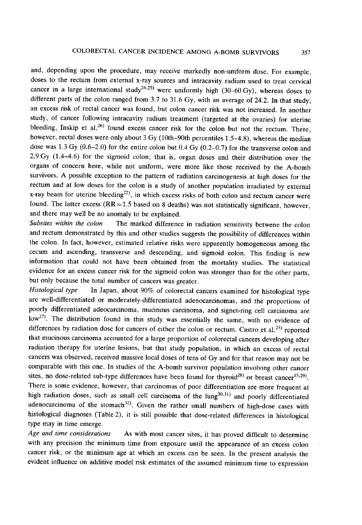and, depending upon the procedure, may receive markedly non-uniform dose. For example, doses to the rectum from external x-ray sources and intracavity radium used to treat cervical cancer in a large international study<sup>24,25</sup> were uniformly high (30–60 Gy), whereas doses to different parts of the colon ranged from 3.7 to 31.6 Gy, with an average of 24.2. In that study, an excess risk of rectal cancer was found, but colon cancer risk was not increased. In another study, of cancer following intracavity radium treatment (targeted at the ovaries) for uterine bleeding, Inskip et al.<sup>26)</sup> found excess cancer risk for the colon but not the rectum. There, however, rectal doses were only about 3 Gy (10th–90th percentiles 1.5–4.8), whereas the median dose was 1.3 Gy (0.6-2.0) for the entire colon but 0.4 Gy (0.2-0.7) for the transverse colon and 2.9 Gy (1.4-4.6) for the sigmoid colon; that is, organ doses and their distribution over the organs of concern here, while not uniform, were more like those received by the A-bomb survivors. A possible exception to the pattern of radiation carcinogenesis at high doses for the rectum and at low doses for the colon is a study of another population irradiated by external x-ray beam for uterine bleeding<sup>22)</sup>, in which excess risks of both colon and rectum cancer were found. The latter excess  $(RR = 1.5$  based on 8 deaths) was not statistically significant, however, and there may well be no anomaly to be explained.

Subsites within the colon The marked difference in radiation sensitivity betwene the colon and rectum demonstrated by this and other studies suggests the possibility of differences within the colon. In fact, however, estimated relative risks were apparently homogeneous among the cecum and ascending, transverse and descending, and sigmoid colon. This finding is new information that could not have been obtained from the mortality studies . The statistical evidence for an excess cancer risk for the sigmoid colon was stronger than for the other parts , but only because the total number of cancers was greater.

Histological type In Japan, about 90% of colorectal cancers examined for histological type are well-differentiated or moderately-differentiated adenocarcinomas , and the proportions of poorly differentiated adeocarcinoma, mucinous carcinoma, and signet-ring cell carcinoma are low<sup>27)</sup>. The distribution found in this study was essentially the same, with no evidence of differences by radiation dose for cancers of either the colon or rectum. Castro et al.<sup>23)</sup> reported that mucinous carcinoma accounted for a large proportion of colorectal cancers developing after radiation therapy for uterine lesions, but that study population , in which an excess of rectal cancers was observed, received massive local doses of tens of Gy and for that reason may not be comparable with this one. In studies of the A-bomb survivor population involving other cancer sites, no dose-related sub-type differences have been found for thyroid<sup>28)</sup> or breast cancer<sup>15,29)</sup>. There is some evidence, however, that carcinomas of poor differentiation are more frequent at high radiation doses, such as small cell carcinoma of the  $lung<sup>30,31</sup>$  and poorly differentiated adenocarcinoma of the stomach<sup>32)</sup>. Given the rather small numbers of high-dose cases with histological diagnoses (Table 2), it is still possible that dose-related differences in histological type may in time emerge.

Age and time considerations As with most cancer sites, it has proved difficult to determine with any precision the minimum time from exposure until the appearance of an excess colon cancer risk, or the minimum age at which an excess can be seen. In the present analysis the evident influence on additive model risk estimates of the assumed minimum time to expression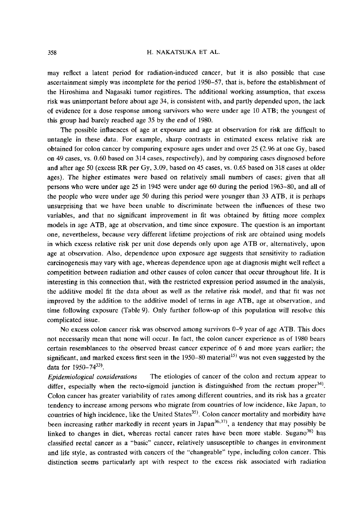may reflect a latent period for radiation-induced cancer, but it is also possible that case ascertainment simply was incomplete for the period 1950-57, that is, before the establishment of the Hiroshima and Nagasaki tumor registires. The additional working assumption, that excess risk was unimportant before about age 34, is consistent with, and partly depended upon, the lack of evidence for a dose response among survivors who were under age 10 ATB; the youngest of this group had barely reached age 35 by the end of 1980.

The possible influences of age at exposure and age at observation for risk are difficult to untangle in these data. For example, sharp contrasts in estimated excess relative risk are obtained for colon cancer by comparing exposure ages under and over 25 (2.96 at one Gy, based on 49 cases, vs. 0.60 based on 314 cases, respectively), and by comparing cases disgnosed before and after age 50 (excess RR per Gy, 3.09, based on 45 cases, vs. 0.65 based on 318 cases at older ages). The higher estimates were based on relatively small numbers of cases; given that all persons who were under age 25 in 1945 were under age 60 during the period 1963-80, and all of the people who were under age 50 during this period were younger than 33 ATB, it is perhaps unsurprising that we have been unable to discriminate between the influences of these two variables, and that no significant improvement in fit was obtained by fitting more complex models in age ATB, age at observation, and time since exposure. The question is an important one, nevertheless, because very different lifetime projections of risk are obtained using models in which excess relative risk per unit dose depends only upon age ATB or, alternatively, upon age at observation. Also, dependence upon exposure age suggests that sensitivity to radiation carcinogenesis may vary with age, whereas dependence upon age at diagnosis might well reflect a competition between radiation and other causes of colon cancer that occur throughout life. It is interesting in this connection that, with the restricted expression period assumed in the analysis, the additive model fit the data about as well as the relative risk model, and that fit was not improved by the addition to the additive model of terms in age ATB, age at observation, and time following exposure (Table 9). Only further follow-up of this population will resolve this complicated issue.

No excess colon cancer risk was observed among survivors 0-9 year of age ATB. This does not necessarily mean that none will occur. In fact, the colon cancer experience as of 1980 bears certain resemblances to the observed breast cancer experince of 6 and more years earlier; the significant, and marked excess first seen in the  $1950-80$  material<sup>15)</sup> was not even suggested by the data for 1950-74<sup>33)</sup>.

Epidemiological considerations The etiologies of cancer of the colon and rectum appear to differ, especially when the recto-sigmoid junction is distinguished from the rectum proper<sup>34)</sup>. Colon cancer has greater variability of rates among different countries, and its risk has a greater tendency to increase among persons who migrate from countries of low incidence, like Japan, to countries of high incidence, like the United States<sup>35)</sup>. Colon cancer mortality and morbidity have been increasing rather markedly in recent years in Japan<sup>36,37)</sup>, a tendency that may possibly be linked to changes in diet, whereas rectal cancer rates have been more stable. Sugano $38$ ) has classified rectal cancer as a "basic" cancer, relatively unsusceptible to changes in environment and life style, as contrasted with cancers of the "changeable" type, including colon cancer. This distinction seems particularly apt with respect to the excess risk associated with radiation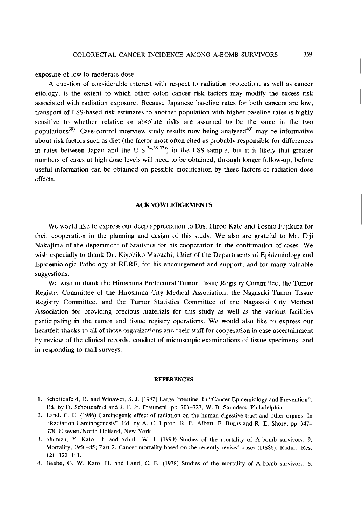exposure of low to moderate dose.

A question of considerable interest with respect to radiation protection, as well as cancer etiology, is the extent to which other colon cancer risk factors may modify the excess risk associated with radiation exposure. Because Japanese baseline rates for both cancers are low, transport of LSS-based risk estimates to another population with higher baseline rates is highly sensitive to whether relative or absolute risks are assumed to be the same in the two populations<sup>39)</sup>. Case-control interview study results now being analyzed<sup>40)</sup> may be informative about risk factors such as diet (the factor most often cited as probably responsible for differences in rates between Japan and the  $U.S.<sup>34,35,37</sup>$ ) in the LSS sample, but it is likely that greater numbers of cases at high dose levels will need to be obtained, through longer follow-up, before useful information can be obtained on possible modification by these factors of radiation dose effects.

#### ACKNOWLEDGEMENTS

We would like to express our deep appreciation to Drs. Hiroo Kato and Toshio Fujikura for their cooperation in the planning and design of this study. We also are grateful to Mr. Eiji Nakajima of the department of Statistics for his cooperation in the confirmation of cases. We wish especially to thank Dr. Kiyohiko Mabuchi, Chief of the Departments of Epidemiology and Epidemiologic Pathology at RERF, for his encourgement and support, and for many valuable suggestions.

 We wish to thank the Hiroshima Prefectural Tumor Tissue Registry Committee, the Tumor Registry Committee of the Hiroshima City Medical Association, the Nagasaki Tumor Tissue Registry Committee, and the Tumor Statistics Committee of the Nagasaki City Medical Association for providing precious materials for this study as well as the various facilities participating in the tumor and tissue registry operations. We would also like to express our heartfelt thanks to all of those organizations and their staff for cooperation in case ascertainment by review of the clinical records, conduct of microscopic examinations of tissue specimens, and in responding to mail surveys.

#### **REFERENCES**

- 1. Schottenfeld, D. and Winawer, S. J. (1982) Large Intestine. In "Cancer Epidemiology and Prevention", Ed. by D. Schottenfeld and J. F. Jr. Fraumeni, pp. 703-727, W. B. Saunders, Philadelphia.
- 2. Land, C. E. (1986) Carcinogenic effect of radiation on the human digestive tract and other organs. In "Radiation Carcinogenesis" , Ed. by A. C. Upton, R. E. Albert, F. Burns and R. E. Shore, pp. 347 378, Elsevier/North Holland, New York.
- 3. Shimizu, Y. Kato, H. and Schull, W. J. (1990) Studies of the mortality of A-bomb survivors. 9. Mortality, 1950-85; Part 2. Cancer mortality based on the recently revised doses (DS86). Radiat. Res. 121: 120-141.
- 4. Beebe, G. W. Kato, H. and Land, C. E. (1978) Studies of the mortality of A-bomb survivors. 6.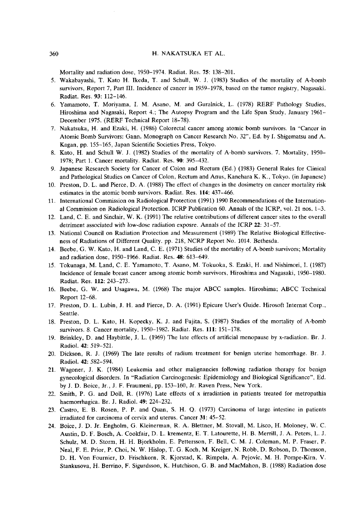Mortality and radiation dose, 1950-1974. Radiat. Res. 75: 138-201.

- 5. Wakabayashi, T. Kato H. Ikeda, T. and Schull, W. J. (1983) Studies of the mortality of A-bomb survivors, Report 7, Part III. Incidence of cancer in 1959-1978, based on the tumor registry, Nagasaki. Radiat. Res. 93: 112-146.
- 6. Yamamoto, T. Moriyama, I. M. Asano, M. and Guralnick, L. (1978) RERF Pathology Studies, Hiroshima and Nagasaki, Report 4.; The Autopsy Program and the Life Span Study, January 1961 December 1975. (RERF Technical Report 18-78).
- 7. Nakatsuka, H. and Ezaki, H. (1986) Colorectal cancer among atomic bomb survivors. In "Cancer in Atomic Bomb Survivors: Gann. Monograph on Cancer Research No. 32", Ed. by I. Shigematsu and A. Kagan, pp. 155-165, Japan Scientific Societies Press, Tokyo.
- 8. Kato, H. and Schull W. J. (1982) Studies of the mortality of A-bomb survivors. 7. Mortality, 1950 1978; Part 1. Cancer mortality. Radiat. Res. 90: 395-432.
- 9. Japanese Research Society for Cancer of Colon and Rectum (Ed.) (1983) General Rules for Clinical and Pathological Studies on Cancer of Colon, Rectum and Anus, Kanehara K. K., Tokyo. (in Japanese)
- 10. Preston, D. L. and Pierce, D. A. (1988) The effect of changes in the dosimetry on cancer mortality risk estimates in the atomic bomb survivors. Radiat. Res. 114: 437-466.
- 11. International Commission on Radiological Protection (1991) 1990 Recommendations of the Internation al Commission on Radiological Protection. ICRP Publication 60. Annals of the ICRP, vol. 21 nos. 1-3.
- 12. Land, C. E. and Sinclair, W. K. (1991) The relative contributions of different cancer sites to the overall detriment associated with low-dose radiation exposre. Annals of the ICRP 22: 31-57.
- 13. National Council on Radiation Protection and Measurement (1989) The Relative Biological Effective ness of Radiations of Different Quality. pp. 218, NCRP Report No. 1014. Bethesda.
- 14. Beebe, G. W. Kato, H. and Land, C. E. (1971) Studies of the mortality of A-bomb survivors; Mortality and radiation dose, 1950-1966. Radiat. Res. 48: 613-649.
- 15. Tokunaga, M. Land, C. E. Yamamoto, T. Asano, M. Tokuoka, S. Ezaki, H. and Nishimori, I. (1987) Incidence of female breast cancer among atomic bomb survivors, Hiroshima and Nagasaki, 1950-1980. Radiat. Res. 112: 243-273.
- 16. Beebe, G. W. and Usagawa, M. (1968) The major ABCC samples. Hiroshima; ABCC Technical Report 12-68.
- 17. Preston, D. L. Lubin, J. H. and Pierce, D. A. (1991) Epicure User's Guide. Hirosoft Internat Corp., Seattle.
- 18. Preston, D. L. Kato, H. Kopecky, K. J. and Fujita, S. (1987) Studies of the mortality of A-bomb survivors. 8. Cancer mortality, 1950-1982. Radiat. Res. 111: 151-178.
- 19. Brinkley, D. and Haybittle, J. L. (1969) The late effects of artificial menopause by x-radiation. Br. J. Radiol. 42: 519-521.
- 20. Dickson, R. J. (1969) The late results of radium treatment for benign uterine hemorrhage. Br. J. Radiol. 42: 582-594.
- 21. Wagoner, J. K. (1984) Leukemia and other malignancies following radiation therapy for benign gynecological disorders. In "Radiation Carcinogenesis: Epidemiology and Biological Significance", Ed. by J. D. Boice, Jr., J. F. Fraumeni, pp. 153-160, Jr. Raven Press, New York.
- 22. Smith, P. G. and Doll, R. (1976) Late effects of x irradiation in patients treated for metropathia haemorrhagica. Br. J. Radiol. 49: 224-232.
- 23. Castro, E. B. Rosen, P. P. and Quan, S. H. Q. (1973) Carcinoma of large intestine in patients irradiated for carcinoma of cervix and uterus. Cancer 31: 45-52.
- 24. Boice, J. D. Jr. Engholm, G. Kleinerman, R. A. Blettner, M. Stovall, M. Lisco, H. Moloney, W. C. Austin, D. F. Bosch, A. Cookfair, D. L. krementz, E. T. Latourette, H. B. Merrill, J. A. Peters, L. J. Schulz, M. D. Storm, H. H. Bjorkholm, E. Pettersson, F. Bell, C. M. J. Coleman, M. P. Fraser, P. Neal, F. E. Prior, P. Choi, N. W. Hislop, T. G. Koch, M. Kreiger, N. Robb, D. Robson, D. Thomson, D. H. Von Fournier, D. Frischkorn, R. Kjorstad, K. Rimpela, A. Pejovic, M. H. Pompe-Kirn, V. Stankusova, H. Berrino, F. Sigurdsson, K. Hutchison, G. B. and MacMahon, B. (1988) Radiation dose